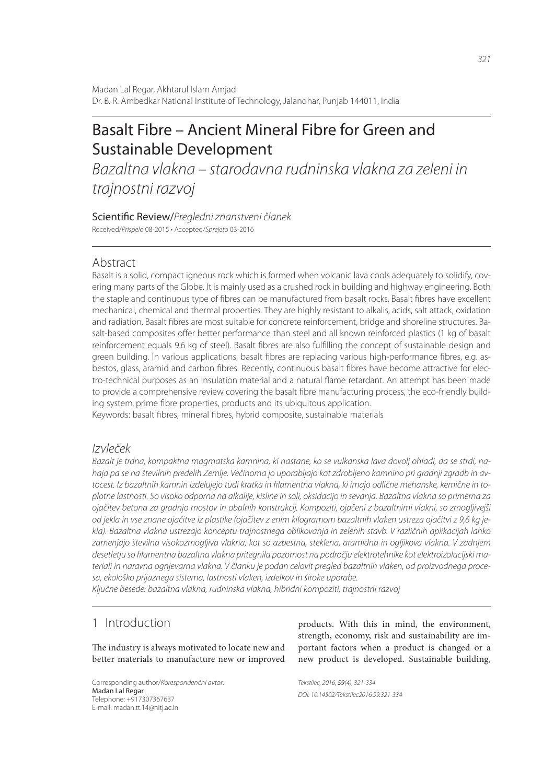# Basalt Fibre – Ancient Mineral Fibre for Green and Sustainable Development

*Bazaltna vlakna – starodavna rudninska vlakna za zeleni in trajnostni razvoj*

Scientific Review/Pregledni znanstveni članek Received/*Prispelo* 08-2015 • Accepted/*Sprejeto* 03-2016

# Abstract

Basalt is a solid, compact igneous rock which is formed when volcanic lava cools adequately to solidify, covering many parts of the Globe. It is mainly used as a crushed rock in building and highway engineering. Both the staple and continuous type of fibres can be manufactured from basalt rocks. Basalt fibres have excellent mechanical, chemical and thermal properties. They are highly resistant to alkalis, acids, salt attack, oxidation and radiation. Basalt fibres are most suitable for concrete reinforcement, bridge and shoreline structures. Basalt-based composites offer better performance than steel and all known reinforced plastics (1 kg of basalt reinforcement equals 9.6 kg of steel). Basalt fibres are also fulfilling the concept of sustainable design and green building. In various applications, basalt fibres are replacing various high-performance fibres, e.g. asbestos, glass, aramid and carbon fibres. Recently, continuous basalt fibres have become attractive for electro-technical purposes as an insulation material and a natural flame retardant. An attempt has been made to provide a comprehensive review covering the basalt fibre manufacturing process, the eco-friendly building system, prime fibre properties, products and its ubiquitous application.

Keywords: basalt fibres, mineral fibres, hybrid composite, sustainable materials

# *Izvleček*

*Bazalt je trdna, kompaktna magmatska kamnina, ki nastane, ko se vulkanska lava dovolj ohladi, da se strdi, nahaja pa se na številnih predelih Zemlje. Večinoma jo uporabljajo kot zdrobljeno kamnino pri gradnji zgradb in av*tocest. Iz bazaltnih kamnin izdelujejo tudi kratka in filamentna vlakna, ki imajo odlične mehanske, kemične in to*plotne lastnosti. So visoko odporna na alkalije, kisline in soli, oksidacijo in sevanja. Bazaltna vlakna so primerna za ojačitev betona za gradnjo mostov in obalnih konstrukcij. Kompoziti, ojačeni z bazaltnimi vlakni, so zmogljivejši od jekla in vse znane ojačitve iz plastike (ojačitev z enim kilogramom bazaltnih vlaken ustreza ojačitvi z 9,6 kg jekla). Bazaltna vlakna ustrezajo konceptu trajnostnega oblikovanja in zelenih stavb. V različnih aplikacijah lahko zamenjajo številna visokozmogljiva vlakna, kot so azbestna, steklena, aramidna in ogljikova vlakna. V zadnjem*  desetletju so filamentna bazaltna vlakna pritegnila pozornost na področju elektrotehnike kot elektroizolacijski ma*teriali in naravna ognjevarna vlakna. V članku je podan celovit pregled bazaltnih vlaken, od proizvodnega procesa, ekološko prijaznega sistema, lastnosti vlaken, izdelkov in široke uporabe.*

*Ključne besede: bazaltna vlakna, rudninska vlakna, hibridni kompoziti, trajnostni razvoj*

# 1 Introduction

The industry is always motivated to locate new and better materials to manufacture new or improved

Corresponding author/*Korespondenčni avtor:* Madan Lal Regar Telephone: +917307367637 E-mail: madan.tt.14@nitj.ac.in

products. With this in mind, the environment, strength, economy, risk and sustainability are important factors when a product is changed or a new product is developed. Sustainable building,

*Tekstilec, 2016,* 59*(4), 321-334 DOI: 10.14502/Tekstilec2016.59.321-334*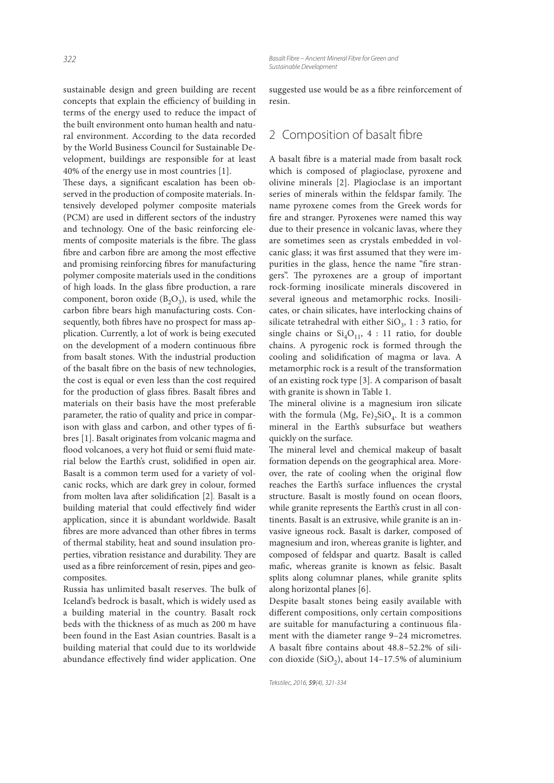sustainable design and green building are recent concepts that explain the efficiency of building in terms of the energy used to reduce the impact of the built environment onto human health and natural environment. According to the data recorded by the World Business Council for Sustainable Development, buildings are responsible for at least 40% of the energy use in most countries [1].

These days, a significant escalation has been observed in the production of composite materials. Intensively developed polymer composite materials (PCM) are used in different sectors of the industry and technology. One of the basic reinforcing elements of composite materials is the fibre. The glass fibre and carbon fibre are among the most effective and promising reinforcing fibres for manufacturing polymer composite materials used in the conditions of high loads. In the glass fibre production, a rare component, boron oxide  $(B_2O_3)$ , is used, while the carbon fibre bears high manufacturing costs. Consequently, both fibres have no prospect for mass application. Currently, a lot of work is being executed on the development of a modern continuous fibre from basalt stones. With the industrial production of the basalt fibre on the basis of new technologies, the cost is equal or even less than the cost required for the production of glass fibres. Basalt fibres and materials on their basis have the most preferable parameter, the ratio of quality and price in comparison with glass and carbon, and other types of fibres [1]. Basalt originates from volcanic magma and flood volcanoes, a very hot fluid or semi fluid material below the Earth's crust, solidified in open air. Basalt is a common term used for a variety of volcanic rocks, which are dark grey in colour, formed from molten lava after solidification [2]. Basalt is a building material that could effectively find wider application, since it is abundant worldwide. Basalt fibres are more advanced than other fibres in terms of thermal stability, heat and sound insulation properties, vibration resistance and durability. They are used as a fibre reinforcement of resin, pipes and geocomposites.

Russia has unlimited basalt reserves. The bulk of Iceland's bedrock is basalt, which is widely used as a building material in the country. Basalt rock beds with the thickness of as much as 200 m have been found in the East Asian countries. Basalt is a building material that could due to its worldwide abundance effectively find wider application. One

suggested use would be as a fibre reinforcement of resin.

# 2 Composition of basalt fibre

A basalt fibre is a material made from basalt rock which is composed of plagioclase, pyroxene and olivine minerals [2]. Plagioclase is an important series of minerals within the feldspar family. The name pyroxene comes from the Greek words for fire and stranger. Pyroxenes were named this way due to their presence in volcanic lavas, where they are sometimes seen as crystals embedded in volcanic glass; it was first assumed that they were impurities in the glass, hence the name "fire strangers". The pyroxenes are a group of important rock-forming inosilicate minerals discovered in several igneous and metamorphic rocks. Inosilicates, or chain silicates, have interlocking chains of silicate tetrahedral with either  $\text{SiO}_3$ , 1 : 3 ratio, for single chains or  $Si<sub>4</sub>O<sub>11</sub>$ , 4 : 11 ratio, for double chains. A pyrogenic rock is formed through the cooling and solidification of magma or lava. A metamorphic rock is a result of the transformation of an existing rock type [3]. A comparison of basalt with granite is shown in Table 1.

The mineral olivine is a magnesium iron silicate with the formula  $(Mg, Fe)_2SiO_4$ . It is a common mineral in the Earth's subsurface but weathers quickly on the surface.

The mineral level and chemical makeup of basalt formation depends on the geographical area. Moreover, the rate of cooling when the original flow reaches the Earth's surface influences the crystal structure. Basalt is mostly found on ocean floors, while granite represents the Earth's crust in all continents. Basalt is an extrusive, while granite is an invasive igneous rock. Basalt is darker, composed of magnesium and iron, whereas granite is lighter, and composed of feldspar and quartz. Basalt is called mafic, whereas granite is known as felsic. Basalt splits along columnar planes, while granite splits along horizontal planes [6].

Despite basalt stones being easily available with different compositions, only certain compositions are suitable for manufacturing a continuous filament with the diameter range 9–24 micrometres. A basalt fibre contains about  $48.8 - 52.2\%$  of silicon dioxide  $(SiO_2)$ , about 14–17.5% of aluminium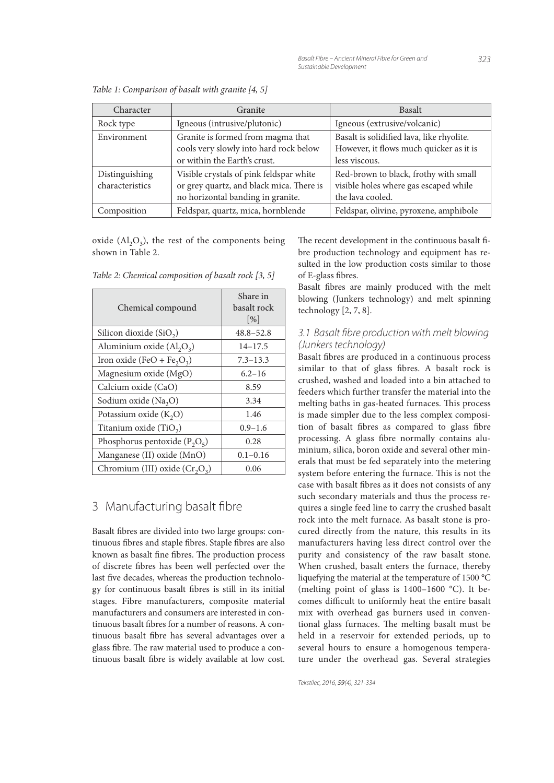| Character       | Granite                                  | <b>Basalt</b>                             |  |  |
|-----------------|------------------------------------------|-------------------------------------------|--|--|
| Rock type       | Igneous (intrusive/plutonic)             | Igneous (extrusive/volcanic)              |  |  |
| Environment     | Granite is formed from magma that        | Basalt is solidified lava, like rhyolite. |  |  |
|                 | cools very slowly into hard rock below   | However, it flows much quicker as it is   |  |  |
|                 | or within the Earth's crust.             | less viscous.                             |  |  |
| Distinguishing  | Visible crystals of pink feldspar white  | Red-brown to black, frothy with small     |  |  |
| characteristics | or grey quartz, and black mica. There is | visible holes where gas escaped while     |  |  |
|                 | no horizontal banding in granite.        | the lava cooled.                          |  |  |
| Composition     | Feldspar, quartz, mica, hornblende       | Feldspar, olivine, pyroxene, amphibole    |  |  |

Table 1: Comparison of basalt with granite [4, 5]

oxide  $(Al_2O_3)$ , the rest of the components being shown in Table 2.

| Chemical compound                                  | Share in<br>basalt rock<br>$\lceil \frac{9}{6} \rceil$ |  |  |
|----------------------------------------------------|--------------------------------------------------------|--|--|
| Silicon dioxide $(SiO2)$                           | $48.8 - 52.8$                                          |  |  |
| Aluminium oxide $(Al_2O_3)$                        | $14 - 17.5$                                            |  |  |
| Iron oxide (FeO + Fe <sub>2</sub> O <sub>3</sub> ) | $7.3 - 13.3$                                           |  |  |
| Magnesium oxide (MgO)                              | $6.2 - 16$                                             |  |  |
| Calcium oxide (CaO)                                | 8.59                                                   |  |  |
| Sodium oxide (Na <sub>2</sub> O)                   | 3.34                                                   |  |  |
| Potassium oxide $(K_2O)$                           | 1.46                                                   |  |  |
| Titanium oxide (TiO <sub>2</sub> )                 | $0.9 - 1.6$                                            |  |  |
| Phosphorus pentoxide $(P_2O_5)$                    | 0.28                                                   |  |  |
| Manganese (II) oxide (MnO)                         | $0.1 - 0.16$                                           |  |  |
| Chromium (III) oxide $(Cr_2O_3)$                   | 0.06                                                   |  |  |

Table 2: Chemical composition of basalt rock [3, 5]

# 3 Manufacturing basalt fibre

Basalt fibres are divided into two large groups: continuous fibres and staple fibres. Staple fibres are also known as basalt fine fibres. The production process of discrete fibres has been well perfected over the last five decades, whereas the production technology for continuous basalt fibres is still in its initial stages. Fibre manufacturers, composite material manufacturers and consumers are interested in continuous basalt fibres for a number of reasons. A continuous basalt fibre has several advantages over a glass fibre. The raw material used to produce a continuous basalt fibre is widely available at low cost. The recent development in the continuous basalt fibre production technology and equipment has resulted in the low production costs similar to those of E-glass fibres.

Basalt fibres are mainly produced with the melt blowing (Junkers technology) and melt spinning technology [2, 7, 8].

### 3.1 Basalt fibre production with melt blowing *(Junkers technology)*

Basalt fibres are produced in a continuous process similar to that of glass fibres. A basalt rock is crushed, washed and loaded into a bin attached to feeders which further transfer the material into the melting baths in gas-heated furnaces. This process is made simpler due to the less complex composition of basalt fibres as compared to glass fibre processing. A glass fibre normally contains aluminium, silica, boron oxide and several other minerals that must be fed separately into the metering system before entering the furnace. This is not the case with basalt fibres as it does not consists of any such secondary materials and thus the process requires a single feed line to carry the crushed basalt rock into the melt furnace. As basalt stone is procured directly from the nature, this results in its manufacturers having less direct control over the purity and consistency of the raw basalt stone. When crushed, basalt enters the furnace, thereby liquefying the material at the temperature of 1500 °C (melting point of glass is 1400–1600 °C). It becomes difficult to uniformly heat the entire basalt mix with overhead gas burners used in conventional glass furnaces. The melting basalt must be held in a reservoir for extended periods, up to several hours to ensure a homogenous temperature under the overhead gas. Several strategies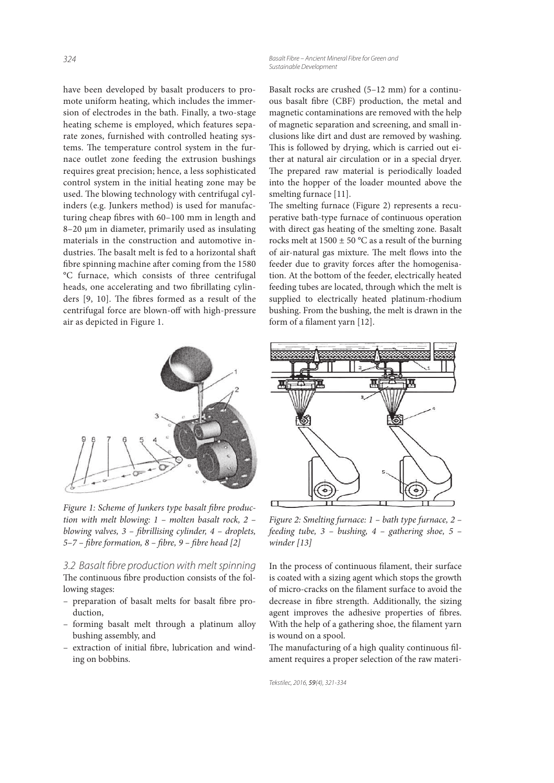*324 Basalt Fibre – Ancient Mineral Fibre for Green and Sustainable Development*

have been developed by basalt producers to promote uniform heating, which includes the immersion of electrodes in the bath. Finally, a two-stage heating scheme is employed, which features separate zones, furnished with controlled heating systems. The temperature control system in the furnace outlet zone feeding the extrusion bushings requires great precision; hence, a less sophisticated control system in the initial heating zone may be used. The blowing technology with centrifugal cylinders (e.g. Junkers method) is used for manufacturing cheap fibres with 60-100 mm in length and 8–20 μm in diameter, primarily used as insulating materials in the construction and automotive industries. The basalt melt is fed to a horizontal shaft fibre spinning machine after coming from the 1580 °C furnace, which consists of three centrifugal heads, one accelerating and two fibrillating cylinders [9, 10]. The fibres formed as a result of the centrifugal force are blown-off with high-pressure air as depicted in Figure 1.



Figure 1: Scheme of Junkers type basalt fibre production with melt blowing: 1 – molten basalt rock, 2 – blowing valves,  $3$  – fibrillising cylinder,  $4$  – droplets,  $5-7$  – fibre formation, 8 – fibre, 9 – fibre head [2]

*3.2 Basalt fi bre production with melt spinning* The continuous fibre production consists of the following stages:

- preparation of basalt melts for basalt fibre production,
- forming basalt melt through a platinum alloy bushing assembly, and
- extraction of initial fibre, lubrication and winding on bobbins.

Basalt rocks are crushed (5–12 mm) for a continuous basalt fibre (CBF) production, the metal and magnetic contaminations are removed with the help of magnetic separation and screening, and small inclusions like dirt and dust are removed by washing. This is followed by drying, which is carried out either at natural air circulation or in a special dryer. The prepared raw material is periodically loaded into the hopper of the loader mounted above the smelting furnace [11].

The smelting furnace (Figure 2) represents a recuperative bath-type furnace of continuous operation with direct gas heating of the smelting zone. Basalt rocks melt at  $1500 \pm 50$  °C as a result of the burning of air-natural gas mixture. The melt flows into the feeder due to gravity forces after the homogenisation. At the bottom of the feeder, electrically heated feeding tubes are located, through which the melt is supplied to electrically heated platinum-rhodium bushing. From the bushing, the melt is drawn in the form of a filament yarn [12].



Figure 2: Smelting furnace: 1 – bath type furnace, 2 – feeding tube, 3 – bushing, 4 – gathering shoe, 5 – winder [13]

In the process of continuous filament, their surface is coated with a sizing agent which stops the growth of micro-cracks on the filament surface to avoid the decrease in fibre strength. Additionally, the sizing agent improves the adhesive properties of fibres. With the help of a gathering shoe, the filament yarn is wound on a spool.

The manufacturing of a high quality continuous filament requires a proper selection of the raw materi-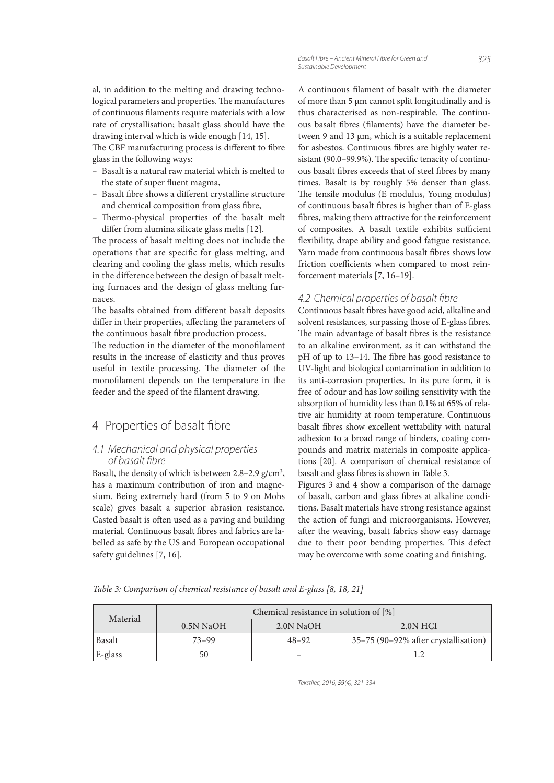al, in addition to the melting and drawing technological parameters and properties. The manufactures of continuous filaments require materials with a low rate of crystallisation; basalt glass should have the drawing interval which is wide enough [14, 15].

The CBF manufacturing process is different to fibre glass in the following ways:

- Basalt is a natural raw material which is melted to the state of super fluent magma,
- Basalt fibre shows a different crystalline structure and chemical composition from glass fibre,
- Thermo-physical properties of the basalt melt differ from alumina silicate glass melts [12].

The process of basalt melting does not include the operations that are specific for glass melting, and clearing and cooling the glass melts, which results in the difference between the design of basalt melting furnaces and the design of glass melting furnaces.

The basalts obtained from different basalt deposits differ in their properties, affecting the parameters of the continuous basalt fibre production process.

The reduction in the diameter of the monofilament results in the increase of elasticity and thus proves useful in textile processing. The diameter of the monofilament depends on the temperature in the feeder and the speed of the filament drawing.

# 4 Properties of basalt fibre

#### *4.1 Mechanical and physical properties of basalt fi bre*

Basalt, the density of which is between  $2.8 - 2.9$  g/cm<sup>3</sup>, has a maximum contribution of iron and magnesium. Being extremely hard (from 5 to 9 on Mohs scale) gives basalt a superior abrasion resistance. Casted basalt is often used as a paving and building material. Continuous basalt fibres and fabrics are labelled as safe by the US and European occupational safety guidelines [7, 16].

A continuous filament of basalt with the diameter of more than 5 µm cannot split longitudinally and is thus characterised as non-respirable. The continuous basalt fibres (filaments) have the diameter between 9 and 13 µm, which is a suitable replacement for asbestos. Continuous fibres are highly water resistant (90.0–99.9%). The specific tenacity of continuous basalt fibres exceeds that of steel fibres by many times. Basalt is by roughly 5% denser than glass. The tensile modulus (E modulus, Young modulus) of continuous basalt fibres is higher than of E-glass fibres, making them attractive for the reinforcement of composites. A basalt textile exhibits sufficient flexibility, drape ability and good fatigue resistance. Yarn made from continuous basalt fibres shows low friction coefficients when compared to most reinforcement materials [7, 16–19].

### 4.2 Chemical properties of basalt fibre

Continuous basalt fibres have good acid, alkaline and solvent resistances, surpassing those of E-glass fibres. The main advantage of basalt fibres is the resistance to an alkaline environment, as it can withstand the pH of up to 13–14. The fibre has good resistance to UV-light and biological contamination in addition to its anti-corrosion properties. In its pure form, it is free of odour and has low soiling sensitivity with the absorption of humidity less than 0.1% at 65% of relative air humidity at room temperature. Continuous basalt fibres show excellent wettability with natural adhesion to a broad range of binders, coating compounds and matrix materials in composite applications [20]. A comparison of chemical resistance of basalt and glass fibres is shown in Table 3.

Figures 3 and 4 show a comparison of the damage of basalt, carbon and glass fibres at alkaline conditions. Basalt materials have strong resistance against the action of fungi and microorganisms. However, after the weaving, basalt fabrics show easy damage due to their poor bending properties. This defect may be overcome with some coating and finishing.

Table 3: Comparison of chemical resistance of basalt and E-glass [8, 18, 21]

| Material | Chemical resistance in solution of $[\%]$ |           |                                      |  |
|----------|-------------------------------------------|-----------|--------------------------------------|--|
|          | $0.5N$ NaOH                               | 2.0N NaOH | 2.0N HCI                             |  |
| Basalt   | $73 - 99$                                 | $48 - 92$ | 35-75 (90-92% after crystallisation) |  |
| E-glass  | 50                                        |           |                                      |  |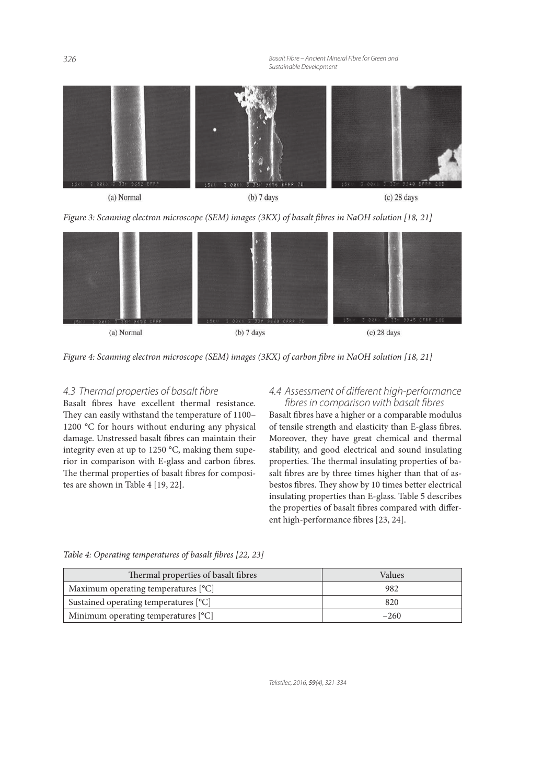*326 Basalt Fibre – Ancient Mineral Fibre for Green and Sustainable Development*







Figure 4: Scanning electron microscope (SEM) images (3KX) of carbon fibre in NaOH solution [18, 21]

# *4.3 Thermal properties of basalt fi bre*

Basalt fibres have excellent thermal resistance. They can easily withstand the temperature of 1100– 1200 °C for hours without enduring any physical damage. Unstressed basalt fibres can maintain their integrity even at up to 1250 °C, making them superior in comparison with E-glass and carbon fibres. The thermal properties of basalt fibres for composites are shown in Table 4 [19, 22].

### *4.4 Assessment of diff erent high-performance fi bres in comparison with basalt fi bres*

Basalt fibres have a higher or a comparable modulus of tensile strength and elasticity than E-glass fibres. Moreover, they have great chemical and thermal stability, and good electrical and sound insulating properties. The thermal insulating properties of basalt fibres are by three times higher than that of asbestos fibres. They show by 10 times better electrical insulating properties than E-glass. Table 5 describes the properties of basalt fibres compared with different high-performance fibres [23, 24].

| Thermal properties of basalt fibres   | Values |  |  |
|---------------------------------------|--------|--|--|
| Maximum operating temperatures [°C]   | 982    |  |  |
| Sustained operating temperatures [°C] | 820    |  |  |
| Minimum operating temperatures [°C]   | $-260$ |  |  |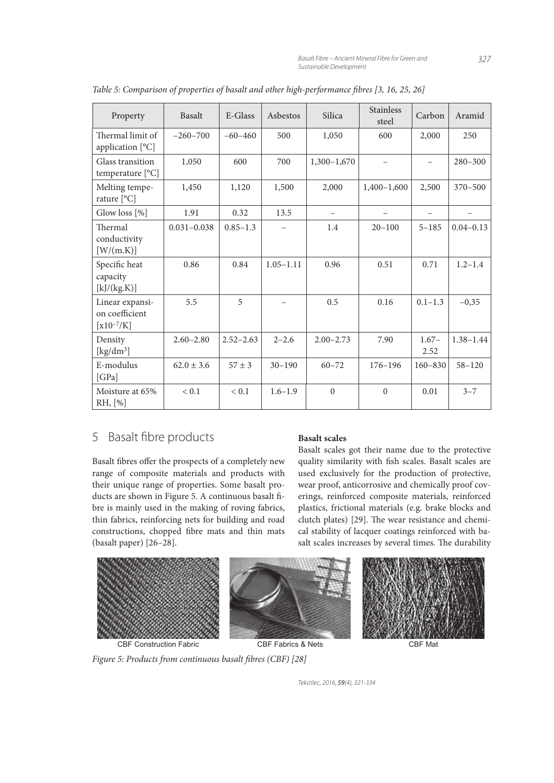| Property                                              | <b>Basalt</b>   | E-Glass       | Asbestos      | Silica        | <b>Stainless</b><br>steel | Carbon                   | Aramid        |
|-------------------------------------------------------|-----------------|---------------|---------------|---------------|---------------------------|--------------------------|---------------|
| Thermal limit of<br>application [°C]                  | $-260-700$      | $-60-460$     | 500           | 1,050         | 600                       | 2,000                    | 250           |
| Glass transition<br>temperature [°C]                  | 1,050           | 600           | 700           | $1,300-1,670$ |                           | $\overline{\phantom{0}}$ | $280 - 300$   |
| Melting tempe-<br>rature $[°C]$                       | 1,450           | 1,120         | 1,500         | 2,000         | $1,400-1,600$             | 2,500                    | $370 - 500$   |
| Glow loss [%]                                         | 1.91            | 0.32          | 13.5          |               |                           | $\overline{\phantom{0}}$ |               |
| Thermal<br>conductivity<br>[W/(m.K)]                  | $0.031 - 0.038$ | $0.85 - 1.3$  |               | 1.4           | $20 - 100$                | $5 - 185$                | $0.04 - 0.13$ |
| Specific heat<br>capacity<br>[k]/(kg.K)]              | 0.86            | 0.84          | $1.05 - 1.11$ | 0.96          | 0.51                      | 0.71                     | $1.2 - 1.4$   |
| Linear expansi-<br>on coefficient<br>[ $x10^{-7}$ /K] | 5.5             | 5             |               | 0.5           | 0.16                      | $0.1 - 1.3$              | $-0,35$       |
| Density<br>[ $\text{kg/dm}^3$ ]                       | $2.60 - 2.80$   | $2.52 - 2.63$ | $2 - 2.6$     | $2.00 - 2.73$ | 7.90                      | $1.67-$<br>2.52          | $1.38 - 1.44$ |
| E-modulus<br>[GPa]                                    | $62.0 \pm 3.6$  | $57 \pm 3$    | $30 - 190$    | $60 - 72$     | $176 - 196$               | $160 - 830$              | $58 - 120$    |
| Moisture at 65%<br>RH, [%]                            | < 0.1           | < 0.1         | $1.6 - 1.9$   | $\theta$      | $\Omega$                  | 0.01                     | $3 - 7$       |

Table 5: Comparison of properties of basalt and other high-performance fibres [3, 16, 25, 26]

# 5 Basalt fibre products

Basalt fibres offer the prospects of a completely new range of composite materials and products with their unique range of properties. Some basalt products are shown in Figure 5. A continuous basalt fibre is mainly used in the making of roving fabrics, thin fabrics, reinforcing nets for building and road constructions, chopped fibre mats and thin mats (basalt paper) [26–28].

### **Basalt scales**

Basalt scales got their name due to the protective quality similarity with fish scales. Basalt scales are used exclusively for the production of protective, wear proof, anticorrosive and chemically proof coverings, reinforced composite materials, reinforced plastics, frictional materials (e.g. brake blocks and clutch plates) [29]. The wear resistance and chemical stability of lacquer coatings reinforced with basalt scales increases by several times. The durability



Figure 5: Products from continuous basalt fibres (CBF) [28]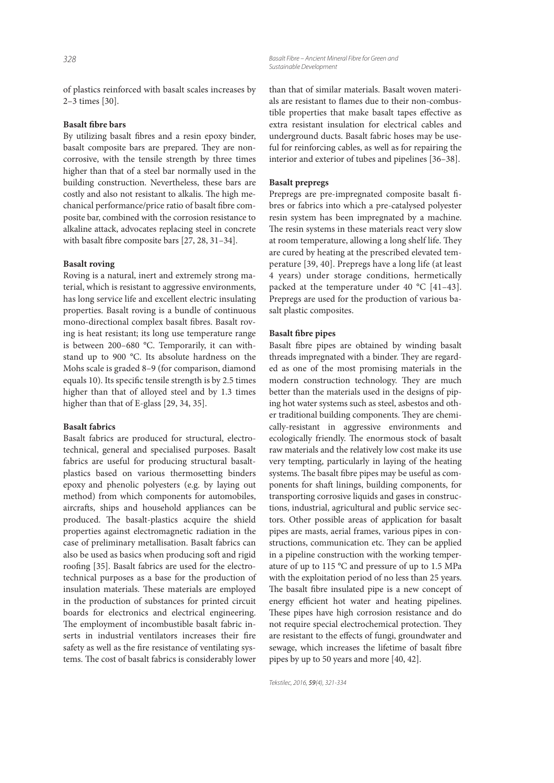of plastics reinforced with basalt scales increases by 2–3 times [30].

#### **Basalt fibre bars**

By utilizing basalt fibres and a resin epoxy binder, basalt composite bars are prepared. They are noncorrosive, with the tensile strength by three times higher than that of a steel bar normally used in the building construction. Nevertheless, these bars are costly and also not resistant to alkalis. The high mechanical performance/price ratio of basalt fibre composite bar, combined with the corrosion resistance to alkaline attack, advocates replacing steel in concrete with basalt fibre composite bars  $[27, 28, 31-34]$ .

#### **Basalt roving**

Roving is a natural, inert and extremely strong material, which is resistant to aggressive environments, has long service life and excellent electric insulating properties. Basalt roving is a bundle of continuous mono-directional complex basalt fibres. Basalt roving is heat resistant; its long use temperature range is between 200–680 °C. Temporarily, it can withstand up to 900 °C. Its absolute hardness on the Mohs scale is graded 8–9 (for comparison, diamond equals 10). Its specific tensile strength is by 2.5 times higher than that of alloyed steel and by 1.3 times higher than that of E-glass [29, 34, 35].

#### **Basalt fabrics**

Basalt fabrics are produced for structural, electrotechnical, general and specialised purposes. Basalt fabrics are useful for producing structural basaltplastics based on various thermosetting binders epoxy and phenolic polyesters (e.g. by laying out method) from which components for automobiles, aircrafts, ships and household appliances can be produced. The basalt-plastics acquire the shield properties against electromagnetic radiation in the case of preliminary metallisation. Basalt fabrics can also be used as basics when producing soft and rigid roofing [35]. Basalt fabrics are used for the electrotechnical purposes as a base for the production of insulation materials. These materials are employed in the production of substances for printed circuit boards for electronics and electrical engineering. The employment of incombustible basalt fabric inserts in industrial ventilators increases their fire safety as well as the fire resistance of ventilating systems. The cost of basalt fabrics is considerably lower

*328 Basalt Fibre – Ancient Mineral Fibre for Green and Sustainable Development*

> than that of similar materials. Basalt woven materials are resistant to flames due to their non-combustible properties that make basalt tapes effective as extra resistant insulation for electrical cables and underground ducts. Basalt fabric hoses may be useful for reinforcing cables, as well as for repairing the interior and exterior of tubes and pipelines [36–38].

#### **Basalt prepregs**

Prepregs are pre-impregnated composite basalt fibres or fabrics into which a pre-catalysed polyester resin system has been impregnated by a machine. The resin systems in these materials react very slow at room temperature, allowing a long shelf life. They are cured by heating at the prescribed elevated temperature [39, 40]. Prepregs have a long life (at least 4 years) under storage conditions, hermetically packed at the temperature under 40 °C [41–43]. Prepregs are used for the production of various basalt plastic composites.

#### **Basalt fibre pipes**

Basalt fibre pipes are obtained by winding basalt threads impregnated with a binder. They are regarded as one of the most promising materials in the modern construction technology. They are much better than the materials used in the designs of piping hot water systems such as steel, asbestos and other traditional building components. They are chemically-resistant in aggressive environments and ecologically friendly. The enormous stock of basalt raw materials and the relatively low cost make its use very tempting, particularly in laying of the heating systems. The basalt fibre pipes may be useful as components for shaft linings, building components, for transporting corrosive liquids and gases in constructions, industrial, agricultural and public service sectors. Other possible areas of application for basalt pipes are masts, aerial frames, various pipes in constructions, communication etc. They can be applied in a pipeline construction with the working temperature of up to 115 °C and pressure of up to 1.5 MPa with the exploitation period of no less than 25 years. The basalt fibre insulated pipe is a new concept of energy efficient hot water and heating pipelines. These pipes have high corrosion resistance and do not require special electrochemical protection. They are resistant to the effects of fungi, groundwater and sewage, which increases the lifetime of basalt fibre pipes by up to 50 years and more [40, 42].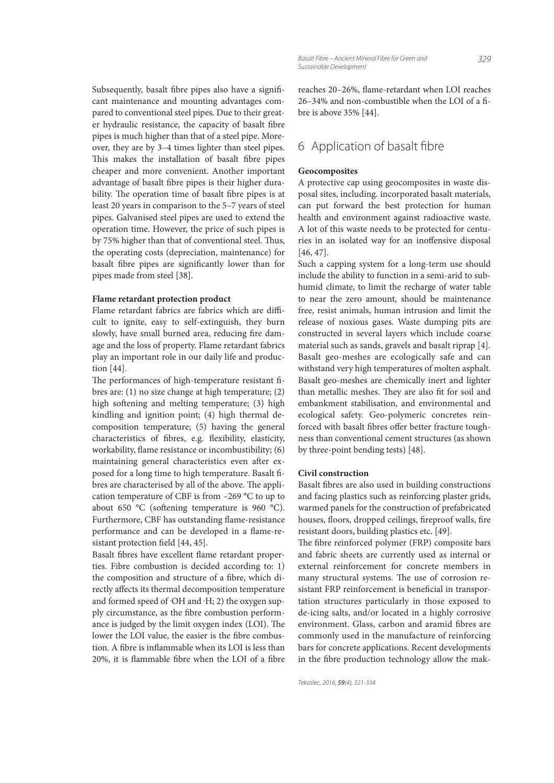Subsequently, basalt fibre pipes also have a significant maintenance and mounting advantages compared to conventional steel pipes. Due to their greater hydraulic resistance, the capacity of basalt fibre pipes is much higher than that of a steel pipe. Moreover, they are by 3–4 times lighter than steel pipes. This makes the installation of basalt fibre pipes cheaper and more convenient. Another important advantage of basalt fibre pipes is their higher durability. The operation time of basalt fibre pipes is at least 20 years in comparison to the 5–7 years of steel pipes. Galvanised steel pipes are used to extend the operation time. However, the price of such pipes is by 75% higher than that of conventional steel. Thus, the operating costs (depreciation, maintenance) for basalt fibre pipes are significantly lower than for pipes made from steel [38].

#### **Flame retardant protection product**

Flame retardant fabrics are fabrics which are difficult to ignite, easy to self-extinguish, they burn slowly, have small burned area, reducing fire damage and the loss of property. Flame retardant fabrics play an important role in our daily life and production [44].

The performances of high-temperature resistant fibres are: (1) no size change at high temperature; (2) high softening and melting temperature; (3) high kindling and ignition point; (4) high thermal decomposition temperature; (5) having the general characteristics of fibres, e.g. flexibility, elasticity, workability, flame resistance or incombustibility; (6) maintaining general characteristics even after exposed for a long time to high temperature. Basalt fibres are characterised by all of the above. The application temperature of CBF is from –269 °C to up to about 650  $^{\circ}$ C (softening temperature is 960  $^{\circ}$ C). Furthermore, CBF has outstanding flame-resistance performance and can be developed in a flame-resistant protection field [44, 45].

Basalt fibres have excellent flame retardant properties. Fibre combustion is decided according to: 1) the composition and structure of a fibre, which directly affects its thermal decomposition temperature and formed speed of  $\cdot$ OH and  $\cdot$ H; 2) the oxygen supply circumstance, as the fibre combustion performance is judged by the limit oxygen index (LOI). The lower the LOI value, the easier is the fibre combustion. A fibre is inflammable when its LOI is less than 20%, it is flammable fibre when the LOI of a fibre reaches 20-26%, flame-retardant when LOI reaches  $26-34\%$  and non-combustible when the LOI of a fibre is above 35% [44].

# 6 Application of basalt fibre

#### **Geocomposites**

A protective cap using geocomposites in waste disposal sites, including. incorporated basalt materials, can put forward the best protection for human health and environment against radioactive waste. A lot of this waste needs to be protected for centuries in an isolated way for an inoffensive disposal [46, 47].

Such a capping system for a long-term use should include the ability to function in a semi-arid to subhumid climate, to limit the recharge of water table to near the zero amount, should be maintenance free, resist animals, human intrusion and limit the release of noxious gases. Waste dumping pits are constructed in several layers which include coarse material such as sands, gravels and basalt riprap [4]. Basalt geo-meshes are ecologically safe and can withstand very high temperatures of molten asphalt. Basalt geo-meshes are chemically inert and lighter than metallic meshes. They are also fit for soil and embankment stabilisation, and environmental and ecological safety. Geo-polymeric concretes reinforced with basalt fibres offer better fracture toughness than conventional cement structures (as shown by three-point bending tests) [48].

#### **Civil construction**

Basalt fibres are also used in building constructions and facing plastics such as reinforcing plaster grids, warmed panels for the construction of prefabricated houses, floors, dropped ceilings, fireproof walls, fire resistant doors, building plastics etc. [49].

The fibre reinforced polymer (FRP) composite bars and fabric sheets are currently used as internal or external reinforcement for concrete members in many structural systems. The use of corrosion resistant FRP reinforcement is beneficial in transportation structures particularly in those exposed to de-icing salts, and/or located in a highly corrosive environment. Glass, carbon and aramid fibres are commonly used in the manufacture of reinforcing bars for concrete applications. Recent developments in the fibre production technology allow the mak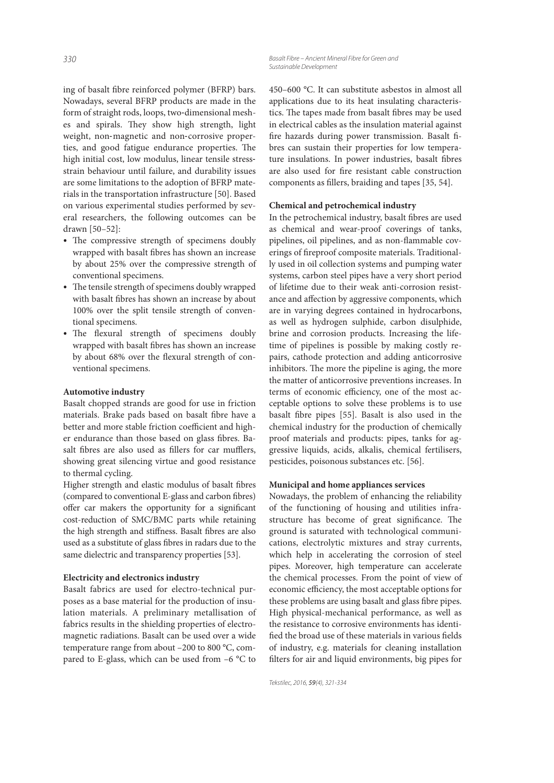ing of basalt fibre reinforced polymer (BFRP) bars. Nowadays, several BFRP products are made in the form of straight rods, loops, two-dimensional meshes and spirals. They show high strength, light weight, non-magnetic and non-corrosive properties, and good fatigue endurance properties. The high initial cost, low modulus, linear tensile stressstrain behaviour until failure, and durability issues are some limitations to the adoption of BFRP materials in the transportation infrastructure [50]. Based on various experimental studies performed by several researchers, the following outcomes can be drawn [50–52]:

- The compressive strength of specimens doubly wrapped with basalt fibres has shown an increase by about 25% over the compressive strength of conventional specimens.
- The tensile strength of specimens doubly wrapped with basalt fibres has shown an increase by about 100% over the split tensile strength of conventional specimens.
- The flexural strength of specimens doubly wrapped with basalt fibres has shown an increase by about 68% over the flexural strength of conventional specimens.

#### **Automotive industry**

Basalt chopped strands are good for use in friction materials. Brake pads based on basalt fibre have a better and more stable friction coefficient and higher endurance than those based on glass fibres. Basalt fibres are also used as fillers for car mufflers, showing great silencing virtue and good resistance to thermal cycling.

Higher strength and elastic modulus of basalt fibres (compared to conventional E-glass and carbon fibres) offer car makers the opportunity for a significant cost-reduction of SMC/BMC parts while retaining the high strength and stiffness. Basalt fibres are also used as a substitute of glass fibres in radars due to the same dielectric and transparency properties [53].

#### **Electricity and electronics industry**

Basalt fabrics are used for electro-technical purposes as a base material for the production of insulation materials. A preliminary metallisation of fabrics results in the shielding properties of electromagnetic radiations. Basalt can be used over a wide temperature range from about –200 to 800 °C, compared to E-glass, which can be used from –6 °C to

*330 Basalt Fibre – Ancient Mineral Fibre for Green and Sustainable Development*

> 450–600 °C. It can substitute asbestos in almost all applications due to its heat insulating characteristics. The tapes made from basalt fibres may be used in electrical cables as the insulation material against fire hazards during power transmission. Basalt fibres can sustain their properties for low temperature insulations. In power industries, basalt fibres are also used for fire resistant cable construction components as fillers, braiding and tapes [35, 54].

#### **Chemical and petrochemical industry**

In the petrochemical industry, basalt fibres are used as chemical and wear-proof coverings of tanks, pipelines, oil pipelines, and as non-flammable coverings of fireproof composite materials. Traditionally used in oil collection systems and pumping water systems, carbon steel pipes have a very short period of lifetime due to their weak anti-corrosion resistance and affection by aggressive components, which are in varying degrees contained in hydrocarbons, as well as hydrogen sulphide, carbon disulphide, brine and corrosion products. Increasing the lifetime of pipelines is possible by making costly repairs, cathode protection and adding anticorrosive inhibitors. The more the pipeline is aging, the more the matter of anticorrosive preventions increases. In terms of economic efficiency, one of the most acceptable options to solve these problems is to use basalt fibre pipes [55]. Basalt is also used in the chemical industry for the production of chemically proof materials and products: pipes, tanks for aggressive liquids, acids, alkalis, chemical fertilisers, pesticides, poisonous substances etc. [56].

#### **Municipal and home appliances services**

Nowadays, the problem of enhancing the reliability of the functioning of housing and utilities infrastructure has become of great significance. The ground is saturated with technological communications, electrolytic mixtures and stray currents, which help in accelerating the corrosion of steel pipes. Moreover, high temperature can accelerate the chemical processes. From the point of view of economic efficiency, the most acceptable options for these problems are using basalt and glass fibre pipes. High physical-mechanical performance, as well as the resistance to corrosive environments has identi fied the broad use of these materials in various fields of industry, e.g. materials for cleaning installation filters for air and liquid environments, big pipes for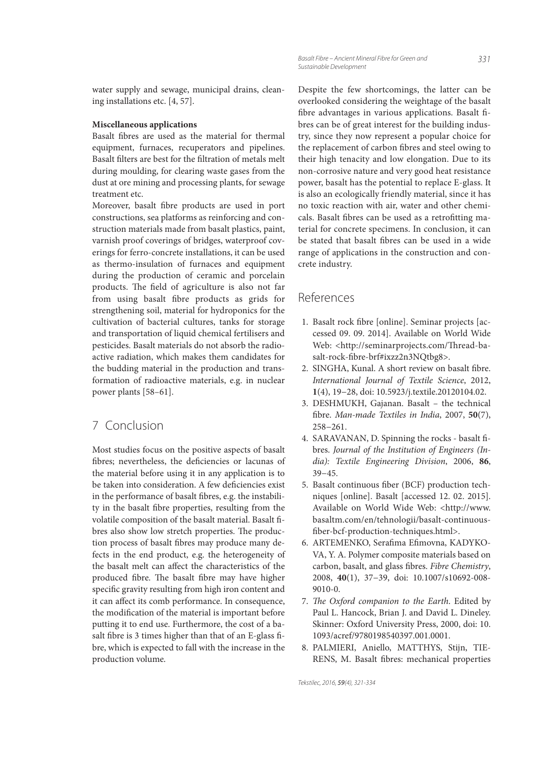water supply and sewage, municipal drains, cleaning installations etc. [4, 57].

#### **Miscellaneous applications**

Basalt fibres are used as the material for thermal equipment, furnaces, recuperators and pipelines. Basalt filters are best for the filtration of metals melt during moulding, for clearing waste gases from the dust at ore mining and processing plants, for sewage treatment etc.

Moreover, basalt fibre products are used in port constructions, sea platforms as reinforcing and construction materials made from basalt plastics, paint, varnish proof coverings of bridges, waterproof coverings for ferro-concrete installations, it can be used as thermo-insulation of furnaces and equipment during the production of ceramic and porcelain products. The field of agriculture is also not far from using basalt fibre products as grids for strengthening soil, material for hydroponics for the cultivation of bacterial cultures, tanks for storage and transportation of liquid chemical fertilisers and pesticides. Basalt materials do not absorb the radioactive radiation, which makes them candidates for the budding material in the production and transformation of radioactive materials, e.g. in nuclear power plants [58–61].

# 7 Conclusion

Most studies focus on the positive aspects of basalt fibres; nevertheless, the deficiencies or lacunas of the material before using it in any application is to be taken into consideration. A few deficiencies exist in the performance of basalt fibres, e.g. the instability in the basalt fibre properties, resulting from the volatile composition of the basalt material. Basalt fibres also show low stretch properties. The production process of basalt fibres may produce many defects in the end product, e.g. the heterogeneity of the basalt melt can affect the characteristics of the produced fibre. The basalt fibre may have higher specific gravity resulting from high iron content and it can affect its comb performance. In consequence, the modification of the material is important before putting it to end use. Furthermore, the cost of a basalt fibre is 3 times higher than that of an E-glass fibre, which is expected to fall with the increase in the production volume.

Despite the few shortcomings, the latter can be overlooked considering the weightage of the basalt fibre advantages in various applications. Basalt fibres can be of great interest for the building industry, since they now represent a popular choice for the replacement of carbon fibres and steel owing to their high tenacity and low elongation. Due to its non-corrosive nature and very good heat resistance power, basalt has the potential to replace E-glass. It is also an ecologically friendly material, since it has no toxic reaction with air, water and other chemicals. Basalt fibres can be used as a retrofitting material for concrete specimens. In conclusion, it can be stated that basalt fibres can be used in a wide range of applications in the construction and concrete industry.

# References

- 1. Basalt rock fibre [online]. Seminar projects [accessed 09. 09. 2014]. Available on World Wide Web: <http://seminarprojects.com/Thread-basalt-rock-fibre-brf#ixzz2n3NQtbg8>.
- 2. SINGHA, Kunal. A short review on basalt fibre. International Journal of Textile Science, 2012, **1**(4), 19−28, doi: 10.5923/j.textile.20120104.02.
- 3. DESHMUKH, Gajanan. Basalt the technical fibre. Man-made Textiles in India, 2007, 50(7), 258−261.
- 4. SARAVANAN, D. Spinning the rocks basalt fibres. Journal of the Institution of Engineers (India): Textile Engineering Division, 2006, **86**, 39−45.
- 5. Basalt continuous fiber (BCF) production techniques [online]. Basalt [accessed 12. 02. 2015]. Available on World Wide Web: <http://www. basaltm.com/en/tehnologii/basalt-continuous fiber-bcf-production-techniques.html>.
- 6. ARTEMENKO, Serafima Efimovna, KADYKO-VA, Y. A. Polymer composite materials based on carbon, basalt, and glass fibres. Fibre Chemistry, 2008, **40**(1), 37−39, doi: 10.1007/s10692-008- 9010-0.
- 7. The Oxford companion to the Earth. Edited by Paul L. Hancock, Brian J. and David L. Dineley. Skinner: Oxford University Press, 2000, doi: 10. 1093/acref/9780198540397.001.0001.
- 8. PALMIERI, Aniello, MATTHYS, Stijn, TIE-RENS, M. Basalt fibres: mechanical properties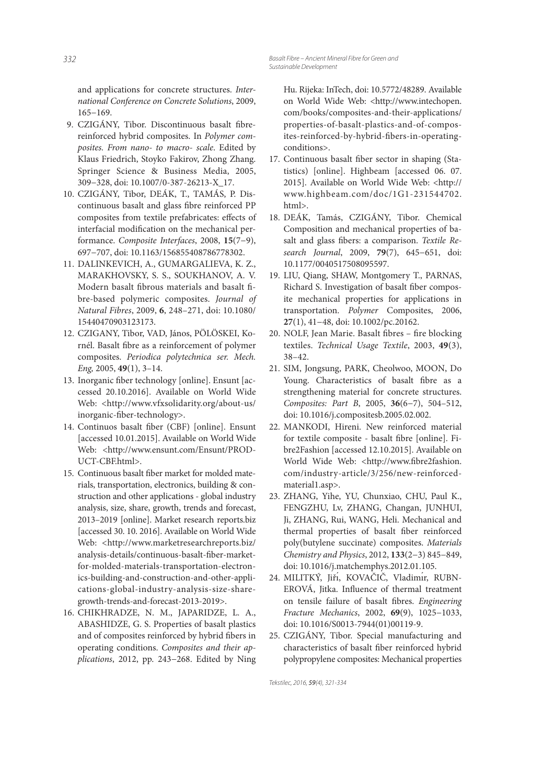and applications for concrete structures. International Conference on Concrete Solutions, 2009, 165−169.

- 9. CZIGÁNY, Tibor. Discontinuous basalt fibrereinforced hybrid composites. In Polymer composites. From nano- to macro- scale. Edited by Klaus Friedrich, Stoyko Fakirov, Zhong Zhang. Springer Science & Business Media, 2005, 309−328, doi: 10.1007/0-387-26213-X\_17.
- 10. CZIGÁNY, Tibor, DEÁK, T., TAMÁS, P. Discontinuous basalt and glass fibre reinforced PP composites from textile prefabricates: effects of interfacial modification on the mechanical performance. Composite Interfaces, 2008, **15**(7−9), 697−707, doi: 10.1163/156855408786778302.
- 11. DALINKEVICH, A., GUMARGALIEVA, K. Z., MARAKHOVSKY, S. S., SOUKHANOV, A. V. Modern basalt fibrous materials and basalt fibre-based polymeric composites. Journal of Natural Fibres, 2009, **6**, 248–271, doi: 10.1080/ 15440470903123173.
- 12. CZIGANY, Tibor, VAD, János, PÖLÖSKEI, Kornél. Basalt fibre as a reinforcement of polymer composites. Periodica polytechnica ser. Mech. Eng, 2005, **49**(1), 3–14.
- 13. Inorganic fiber technology [online]. Ensunt [accessed 20.10.2016]. Available on World Wide Web: <http://www.vfxsolidarity.org/about-us/ inorganic-fiber-technology>.
- 14. Continuos basalt fiber (CBF) [online]. Ensunt [accessed 10.01.2015]. Available on World Wide Web: <http://www.ensunt.com/Ensunt/PROD-UCT-CBF.html>.
- 15. Continuous basalt fiber market for molded materials, transportation, electronics, building & construction and other applications - global industry analysis, size, share, growth, trends and forecast, 2013–2019 [online]. Market research reports.biz [accessed 30. 10. 2016]. Available on World Wide Web: <http://www.marketresearchreports.biz/ analysis-details/continuous-basalt-fiber-marketfor-molded-materials-transportation-electronics-building-and-construction-and-other-applications-global-industry-analysis-size-sharegrowth-trends-and-forecast-2013-2019>.
- 16. CHIKHRADZE, N. M., JAPARIDZE, L. A., ABASHIDZE, G. S. Properties of basalt plastics and of composites reinforced by hybrid fibers in operating conditions. Composites and their applications, 2012, pp. 243−268. Edited by Ning

Hu. Rijeka: InTech, doi: 10.5772/48289. Available on World Wide Web: <http://www.intechopen. com/books/composites-and-their-applications/ properties-of-basalt-plastics-and-of-composites-reinforced-by-hybrid-fibers-in-operatingconditions>.

- 17. Continuous basalt fiber sector in shaping (Statistics) [online]. Highbeam [accessed 06. 07. 2015]. Available on World Wide Web: <http:// www.highbeam.com/doc/1G1-231544702. html>.
- 18. DEÁK, Tamás, CZIGÁNY, Tibor. Chemical Composition and mechanical properties of basalt and glass fibers: a comparison. Textile Research Journal, 2009, **79**(7), 645−651, doi: 10.1177/0040517508095597.
- 19. LIU, Qiang, SHAW, Montgomery T., PARNAS, Richard S. Investigation of basalt fiber composite mechanical properties for applications in transportation. Polymer Composites, 2006, **27**(1), 41−48, doi: 10.1002/pc.20162.
- 20. NOLF, Jean Marie. Basalt fibres fire blocking textiles. Technical Usage Textile, 2003, **49**(3), 38–42.
- 21. SIM, Jongsung, PARK, Cheolwoo, MOON, Do Young. Characteristics of basalt fibre as a strengthening material for concrete structures. Composites: Part B, 2005, **36**(6−7), 504–512, doi: 10.1016/j.compositesb.2005.02.002.
- 22. MANKODI, Hireni. New reinforced material for textile composite - basalt fibre [online]. Fibre2Fashion [accessed 12.10.2015]. Available on World Wide Web: <http://www.fibre2fashion. com/industry-article/3/256/new-reinforcedmaterial1.asp>.
- 23. ZHANG, Yihe, YU, Chunxiao, CHU, Paul K., FENGZHU, Lv, ZHANG, Changan, JUNHUI, Ji, ZHANG, Rui, WANG, Heli. Mechanical and thermal properties of basalt fiber reinforced poly(butylene succinate) composites. Materials Chemistry and Physics, 2012, **133**(2−3) 845−849, doi: 10.1016/j.matchemphys.2012.01.105.
- 24. MILITKÝ, Jiří, KOVAČIČ, Vladimír, RUBN-EROVÁ, Jitka. Influence of thermal treatment on tensile failure of basalt fibres. Engineering Fracture Mechanics, 2002, **69**(9), 1025−1033, doi: 10.1016/S0013-7944(01)00119-9.
- 25. CZIGÁNY, Tibor. Special manufacturing and characteristics of basalt fiber reinforced hybrid polypropylene composites: Mechanical properties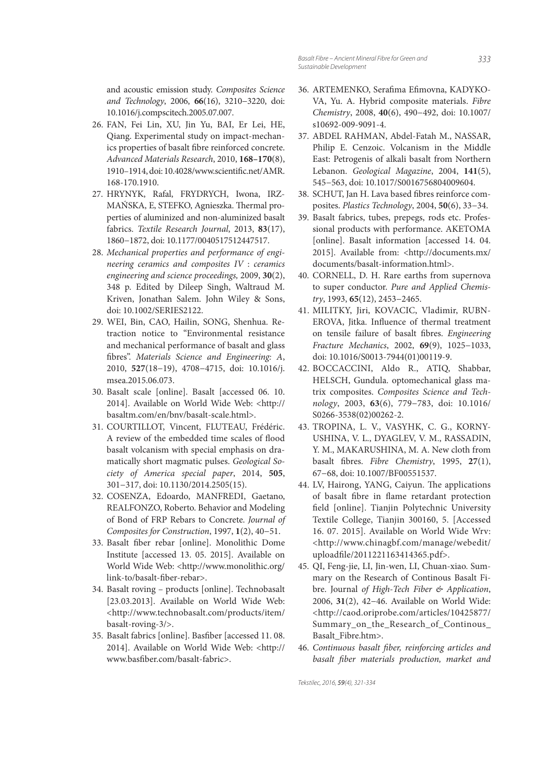and acoustic emission study. Composites Science and Technology, 2006, **66**(16), 3210−3220, doi: 10.1016/j.compscitech.2005.07.007.

- 26. FAN, Fei Lin, XU, Jin Yu, BAI, Er Lei, HE, Qiang. Experimental study on impact-mechanics properties of basalt fibre reinforced concrete. Advanced Materials Research, 2010, **168–170**(8), 1910–1914, doi: 10.4028/www.scientific.net/AMR. 168-170.1910.
- 27. HRYNYK, Rafal, FRYDRYCH, Iwona, IRZ-MAŃSKA, E, STEFKO, Agnieszka. Thermal properties of aluminized and non-aluminized basalt fabrics. Textile Research Journal, 2013, **83**(17), 1860−1872, doi: 10.1177/0040517512447517.
- 28. Mechanical properties and performance of engineering ceramics and composites IV : ceramics engineering and science proceedings, 2009, **30**(2), 348 p. Edited by Dileep Singh, Waltraud M. Kriven, Jonathan Salem. John Wiley & Sons, doi: 10.1002/SERIES2122.
- 29. WEI, Bin, CAO, Hailin, SONG, Shenhua. Retraction notice to "Environmental resistance and mechanical performance of basalt and glass fibres". Materials Science and Engineering: A, 2010, **527**(18−19), 4708−4715, doi: 10.1016/j. msea.2015.06.073.
- 30. Basalt scale [online]. Basalt [accessed 06. 10. 2014]. Available on World Wide Web: <http:// basaltm.com/en/bnv/basalt-scale.html>.
- 31. COURTILLOT, Vincent, FLUTEAU, Frédéric. A review of the embedded time scales of flood basalt volcanism with special emphasis on dramatically short magmatic pulses. Geological Society of America special paper, 2014, **505**, 301−317, doi: 10.1130/2014.2505(15).
- 32. COSENZA, Edoardo, MANFREDI, Gaetano, REALFONZO, Roberto. Behavior and Modeling of Bond of FRP Rebars to Concrete. Journal of Composites for Construction, 1997, **1**(2), 40−51.
- 33. Basalt fiber rebar [online]. Monolithic Dome Institute [accessed 13. 05. 2015]. Available on World Wide Web: <http://www.monolithic.org/ link-to/basalt-fiber-rebar>.
- 34. Basalt roving products [online]. Technobasalt [23.03.2013]. Available on World Wide Web: <http://www.technobasalt.com/products/item/ basalt-roving-3/>.
- 35. Basalt fabrics [online]. Basfiber [accessed 11.08. 2014]. Available on World Wide Web: <http:// www.basfiber.com/basalt-fabric>.
- 36. ARTEMENKO, Serafima Efimovna, KADYKO-VA, Yu. A. Hybrid composite materials. Fibre Chemistry, 2008, **40**(6), 490−492, doi: 10.1007/ s10692-009-9091-4.
- 37. ABDEL RAHMAN, Abdel-Fatah M., NASSAR, Philip E. Cenzoic. Volcanism in the Middle East: Petrogenis of alkali basalt from Northern Lebanon. Geological Magazine, 2004, **141**(5), 545−563, doi: 10.1017/S0016756804009604.
- 38. SCHUT, Jan H. Lava based fibres reinforce composites. Plastics Technology, 2004, **50**(6), 33−34.
- 39. Basalt fabrics, tubes, prepegs, rods etc. Professional products with performance. AKETOMA [online]. Basalt information [accessed 14. 04. 2015]. Available from: <http://documents.mx/ documents/basalt-information.html>.
- 40. CORNELL, D. H. Rare earths from supernova to super conductor. Pure and Applied Chemistry, 1993, **65**(12), 2453−2465.
- 41. MILITKY, Jiri, KOVACIC, Vladimir, RUBN-EROVA, Jitka. Influence of thermal treatment on tensile failure of basalt fibres. Engineering Fracture Mechanics, 2002, **69**(9), 1025−1033, doi: 10.1016/S0013-7944(01)00119-9.
- 42. BOCCACCINI, Aldo R., ATIQ, Shabbar, HELSCH, Gundula. optomechanical glass matrix composites. Composites Science and Technology, 2003, **63**(6), 779−783, doi: 10.1016/ S0266-3538(02)00262-2.
- 43. TROPINA, L. V., VASYHK, C. G., KORNY-USHINA, V. L., DYAGLEV, V. M., RASSADIN, Y. M., MAKARUSHINA, M. A. New cloth from basalt fibres. Fibre Chemistry, 1995, 27(1), 67−68, doi: 10.1007/BF00551537.
- 44. LV, Hairong, YANG, Caiyun. The applications of basalt fibre in flame retardant protection field [online]. Tianjin Polytechnic University Textile College, Tianjin 300160, 5. [Accessed 16. 07. 2015]. Available on World Wide Wrv: <http://www.chinagbf.com/manage/webedit/ uploadfile/2011221163414365.pdf>.
- 45. QI, Feng-jie, LI, Jin-wen, LI, Chuan-xiao. Summary on the Research of Continous Basalt Fibre. Journal of High-Tech Fiber & Application, 2006, **31**(2), 42−46. Available on World Wide: <http://caod.oriprobe.com/articles/10425877/ Summary\_on\_the\_Research\_of\_Continous\_ Basalt\_Fibre.htm>.
- 46. Continuous basalt fiber, reinforcing articles and basalt fiber materials production, market and